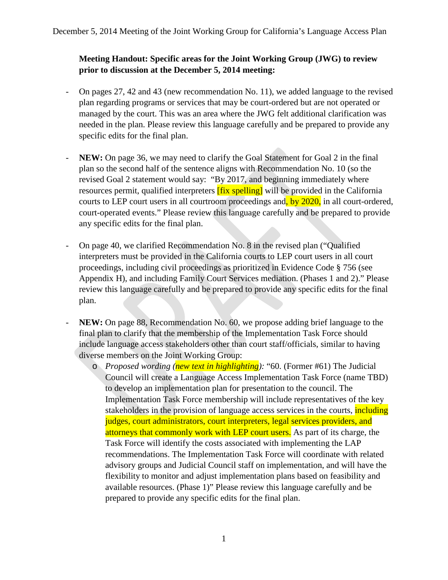## **Meeting Handout: Specific areas for the Joint Working Group (JWG) to review prior to discussion at the December 5, 2014 meeting:**

- On pages 27, 42 and 43 (new recommendation No. 11), we added language to the revised plan regarding programs or services that may be court-ordered but are not operated or managed by the court. This was an area where the JWG felt additional clarification was needed in the plan. Please review this language carefully and be prepared to provide any specific edits for the final plan.
- NEW: On page 36, we may need to clarify the Goal Statement for Goal 2 in the final plan so the second half of the sentence aligns with Recommendation No. 10 (so the revised Goal 2 statement would say: "By 2017, and beginning immediately where resources permit, qualified interpreters **[fix spelling]** will be provided in the California courts to LEP court users in all courtroom proceedings and, by 2020, in all court-ordered, court-operated events." Please review this language carefully and be prepared to provide any specific edits for the final plan.
- On page 40, we clarified Recommendation No. 8 in the revised plan ("Qualified interpreters must be provided in the California courts to LEP court users in all court proceedings, including civil proceedings as prioritized in Evidence Code § 756 (see Appendix H), and including Family Court Services mediation. (Phases 1 and 2)." Please review this language carefully and be prepared to provide any specific edits for the final plan.
- NEW: On page 88, Recommendation No. 60, we propose adding brief language to the final plan to clarify that the membership of the Implementation Task Force should include language access stakeholders other than court staff/officials, similar to having diverse members on the Joint Working Group:
	- o *Proposed wording (new text in highlighting):* "60. (Former #61) The Judicial Council will create a Language Access Implementation Task Force (name TBD) to develop an implementation plan for presentation to the council. The Implementation Task Force membership will include representatives of the key stakeholders in the provision of language access services in the courts, including judges, court administrators, court interpreters, legal services providers, and attorneys that commonly work with LEP court users. As part of its charge, the Task Force will identify the costs associated with implementing the LAP recommendations. The Implementation Task Force will coordinate with related advisory groups and Judicial Council staff on implementation, and will have the flexibility to monitor and adjust implementation plans based on feasibility and available resources. (Phase 1)" Please review this language carefully and be prepared to provide any specific edits for the final plan.